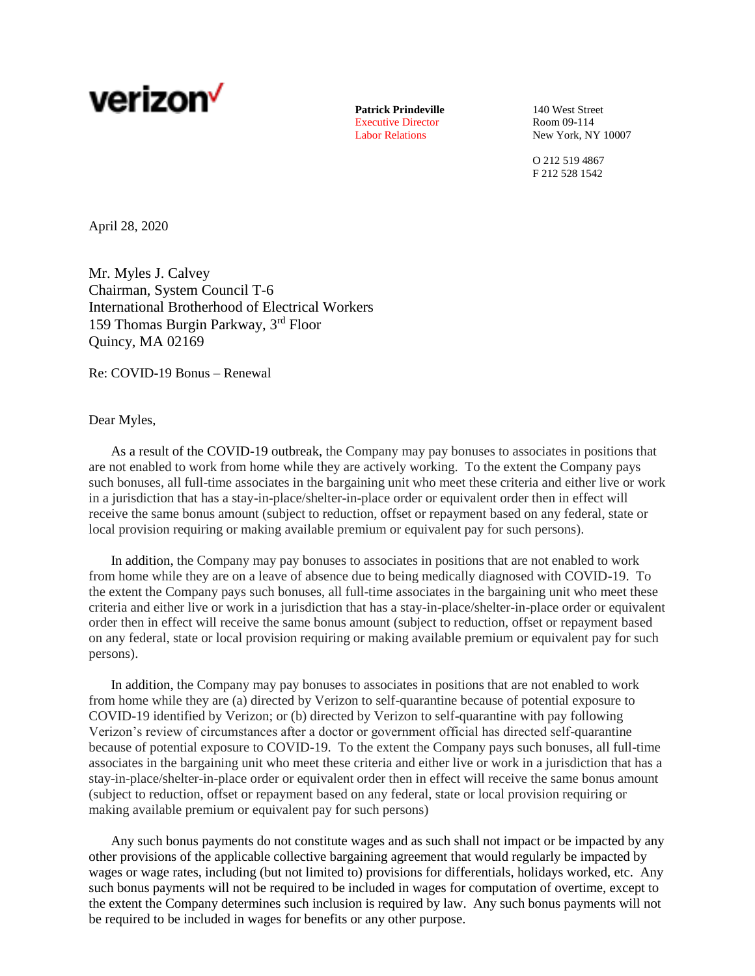

Patrick Prindeville 140 West Street Executive Director Room 09-114

Labor Relations New York, NY 10007

O 212 519 4867 F 212 528 1542

April 28, 2020

Mr. Myles J. Calvey Chairman, System Council T-6 International Brotherhood of Electrical Workers 159 Thomas Burgin Parkway, 3rd Floor Quincy, MA 02169

Re: COVID-19 Bonus – Renewal

## Dear Myles,

As a result of the COVID-19 outbreak, the Company may pay bonuses to associates in positions that are not enabled to work from home while they are actively working. To the extent the Company pays such bonuses, all full-time associates in the bargaining unit who meet these criteria and either live or work in a jurisdiction that has a stay-in-place/shelter-in-place order or equivalent order then in effect will receive the same bonus amount (subject to reduction, offset or repayment based on any federal, state or local provision requiring or making available premium or equivalent pay for such persons).

In addition, the Company may pay bonuses to associates in positions that are not enabled to work from home while they are on a leave of absence due to being medically diagnosed with COVID-19. To the extent the Company pays such bonuses, all full-time associates in the bargaining unit who meet these criteria and either live or work in a jurisdiction that has a stay-in-place/shelter-in-place order or equivalent order then in effect will receive the same bonus amount (subject to reduction, offset or repayment based on any federal, state or local provision requiring or making available premium or equivalent pay for such persons).

In addition, the Company may pay bonuses to associates in positions that are not enabled to work from home while they are (a) directed by Verizon to self-quarantine because of potential exposure to COVID-19 identified by Verizon; or (b) directed by Verizon to self-quarantine with pay following Verizon's review of circumstances after a doctor or government official has directed self-quarantine because of potential exposure to COVID-19. To the extent the Company pays such bonuses, all full-time associates in the bargaining unit who meet these criteria and either live or work in a jurisdiction that has a stay-in-place/shelter-in-place order or equivalent order then in effect will receive the same bonus amount (subject to reduction, offset or repayment based on any federal, state or local provision requiring or making available premium or equivalent pay for such persons)

Any such bonus payments do not constitute wages and as such shall not impact or be impacted by any other provisions of the applicable collective bargaining agreement that would regularly be impacted by wages or wage rates, including (but not limited to) provisions for differentials, holidays worked, etc. Any such bonus payments will not be required to be included in wages for computation of overtime, except to the extent the Company determines such inclusion is required by law. Any such bonus payments will not be required to be included in wages for benefits or any other purpose.